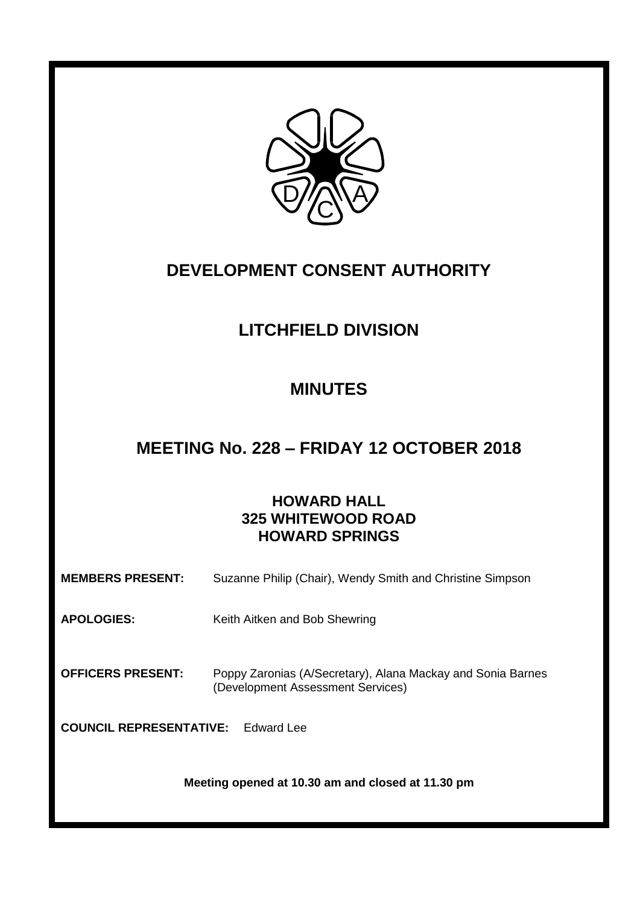

# **DEVELOPMENT CONSENT AUTHORITY**

# **LITCHFIELD DIVISION**

# **MINUTES**

# **MEETING No. 228 – FRIDAY 12 OCTOBER 2018**

# **HOWARD HALL 325 WHITEWOOD ROAD HOWARD SPRINGS**

| <b>MEMBERS PRESENT:</b>                           | Suzanne Philip (Chair), Wendy Smith and Christine Simpson                                        |  |  |
|---------------------------------------------------|--------------------------------------------------------------------------------------------------|--|--|
| <b>APOLOGIES:</b>                                 | Keith Aitken and Bob Shewring                                                                    |  |  |
| <b>OFFICERS PRESENT:</b>                          | Poppy Zaronias (A/Secretary), Alana Mackay and Sonia Barnes<br>(Development Assessment Services) |  |  |
| <b>COUNCIL REPRESENTATIVE:</b><br>Fdward Lee      |                                                                                                  |  |  |
| Meeting opened at 10.30 am and closed at 11.30 pm |                                                                                                  |  |  |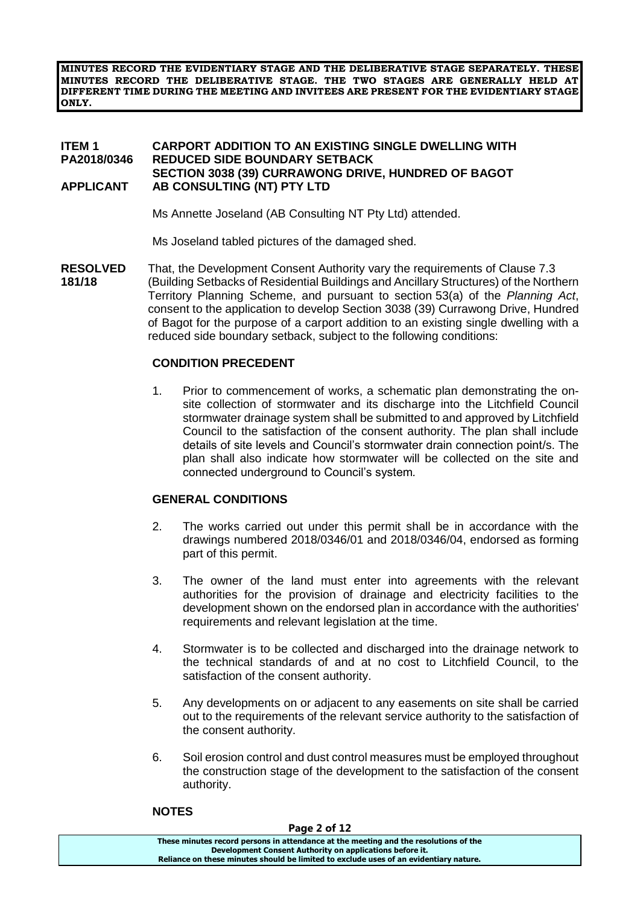**MINUTES RECORD THE EVIDENTIARY STAGE AND THE DELIBERATIVE STAGE SEPARATELY. THESE MINUTES RECORD THE DELIBERATIVE STAGE. THE TWO STAGES ARE GENERALLY HELD AT DIFFERENT TIME DURING THE MEETING AND INVITEES ARE PRESENT FOR THE EVIDENTIARY STAGE ONLY.**

### **ITEM 1 CARPORT ADDITION TO AN EXISTING SINGLE DWELLING WITH PA2018/0346 REDUCED SIDE BOUNDARY SETBACK SECTION 3038 (39) CURRAWONG DRIVE, HUNDRED OF BAGOT APPLICANT AB CONSULTING (NT) PTY LTD**

Ms Annette Joseland (AB Consulting NT Pty Ltd) attended.

Ms Joseland tabled pictures of the damaged shed.

**RESOLVED** That, the Development Consent Authority vary the requirements of Clause 7.3 **181/18** (Building Setbacks of Residential Buildings and Ancillary Structures) of the Northern Territory Planning Scheme, and pursuant to section 53(a) of the *Planning Act*, consent to the application to develop Section 3038 (39) Currawong Drive, Hundred of Bagot for the purpose of a carport addition to an existing single dwelling with a reduced side boundary setback, subject to the following conditions:

# **CONDITION PRECEDENT**

1. Prior to commencement of works, a schematic plan demonstrating the onsite collection of stormwater and its discharge into the Litchfield Council stormwater drainage system shall be submitted to and approved by Litchfield Council to the satisfaction of the consent authority. The plan shall include details of site levels and Council's stormwater drain connection point/s. The plan shall also indicate how stormwater will be collected on the site and connected underground to Council's system*.*

# **GENERAL CONDITIONS**

- 2. The works carried out under this permit shall be in accordance with the drawings numbered 2018/0346/01 and 2018/0346/04, endorsed as forming part of this permit.
- 3. The owner of the land must enter into agreements with the relevant authorities for the provision of drainage and electricity facilities to the development shown on the endorsed plan in accordance with the authorities' requirements and relevant legislation at the time.
- 4. Stormwater is to be collected and discharged into the drainage network to the technical standards of and at no cost to Litchfield Council, to the satisfaction of the consent authority.
- 5. Any developments on or adjacent to any easements on site shall be carried out to the requirements of the relevant service authority to the satisfaction of the consent authority.
- 6. Soil erosion control and dust control measures must be employed throughout the construction stage of the development to the satisfaction of the consent authority.

# **NOTES**

**Page 2 of 12 These minutes record persons in attendance at the meeting and the resolutions of the Development Consent Authority on applications before it. Reliance on these minutes should be limited to exclude uses of an evidentiary nature.**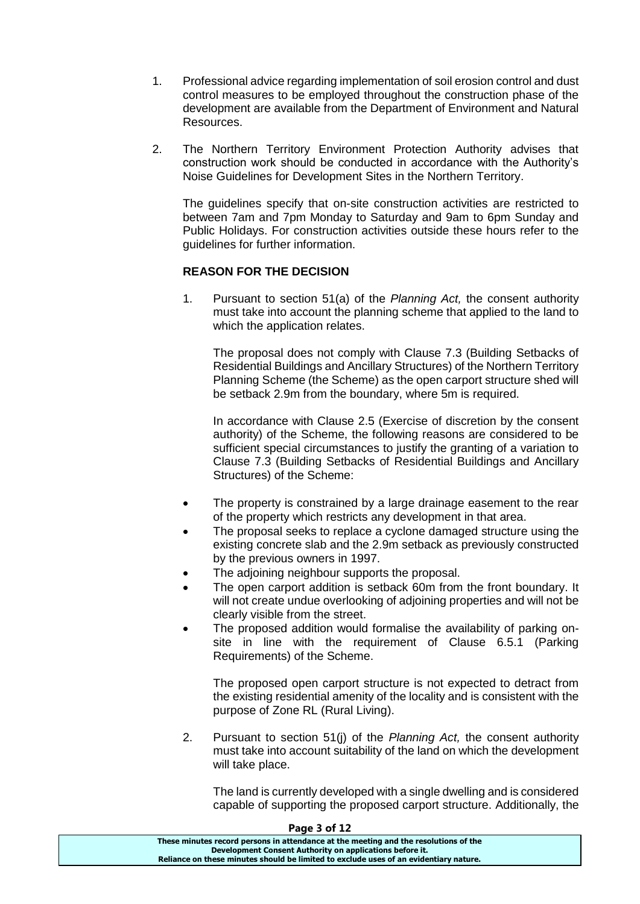- 1. Professional advice regarding implementation of soil erosion control and dust control measures to be employed throughout the construction phase of the development are available from the Department of Environment and Natural Resources.
- 2. The Northern Territory Environment Protection Authority advises that construction work should be conducted in accordance with the Authority's Noise Guidelines for Development Sites in the Northern Territory.

The guidelines specify that on-site construction activities are restricted to between 7am and 7pm Monday to Saturday and 9am to 6pm Sunday and Public Holidays. For construction activities outside these hours refer to the guidelines for further information.

# **REASON FOR THE DECISION**

1. Pursuant to section 51(a) of the *Planning Act,* the consent authority must take into account the planning scheme that applied to the land to which the application relates.

The proposal does not comply with Clause 7.3 (Building Setbacks of Residential Buildings and Ancillary Structures) of the Northern Territory Planning Scheme (the Scheme) as the open carport structure shed will be setback 2.9m from the boundary, where 5m is required.

In accordance with Clause 2.5 (Exercise of discretion by the consent authority) of the Scheme, the following reasons are considered to be sufficient special circumstances to justify the granting of a variation to Clause 7.3 (Building Setbacks of Residential Buildings and Ancillary Structures) of the Scheme:

- The property is constrained by a large drainage easement to the rear of the property which restricts any development in that area.
- The proposal seeks to replace a cyclone damaged structure using the existing concrete slab and the 2.9m setback as previously constructed by the previous owners in 1997.
- The adjoining neighbour supports the proposal.
- The open carport addition is setback 60m from the front boundary. It will not create undue overlooking of adjoining properties and will not be clearly visible from the street.
- The proposed addition would formalise the availability of parking onsite in line with the requirement of Clause 6.5.1 (Parking Requirements) of the Scheme.

The proposed open carport structure is not expected to detract from the existing residential amenity of the locality and is consistent with the purpose of Zone RL (Rural Living).

2. Pursuant to section 51(j) of the *Planning Act,* the consent authority must take into account suitability of the land on which the development will take place.

The land is currently developed with a single dwelling and is considered capable of supporting the proposed carport structure. Additionally, the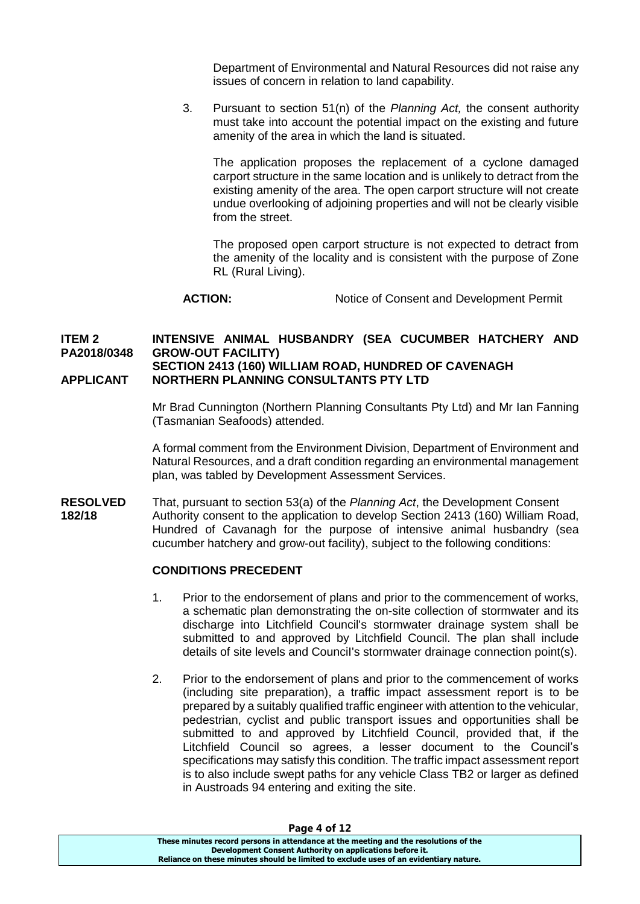Department of Environmental and Natural Resources did not raise any issues of concern in relation to land capability.

3. Pursuant to section 51(n) of the *Planning Act,* the consent authority must take into account the potential impact on the existing and future amenity of the area in which the land is situated.

The application proposes the replacement of a cyclone damaged carport structure in the same location and is unlikely to detract from the existing amenity of the area. The open carport structure will not create undue overlooking of adjoining properties and will not be clearly visible from the street.

The proposed open carport structure is not expected to detract from the amenity of the locality and is consistent with the purpose of Zone RL (Rural Living).

```
ACTION: Notice of Consent and Development Permit
```
# **ITEM 2 INTENSIVE ANIMAL HUSBANDRY (SEA CUCUMBER HATCHERY AND PA2018/0348 GROW-OUT FACILITY) SECTION 2413 (160) WILLIAM ROAD, HUNDRED OF CAVENAGH**

# **APPLICANT NORTHERN PLANNING CONSULTANTS PTY LTD**

Mr Brad Cunnington (Northern Planning Consultants Pty Ltd) and Mr Ian Fanning (Tasmanian Seafoods) attended.

A formal comment from the Environment Division, Department of Environment and Natural Resources, and a draft condition regarding an environmental management plan, was tabled by Development Assessment Services.

**RESOLVED** That, pursuant to section 53(a) of the *Planning Act*, the Development Consent **182/18** Authority consent to the application to develop Section 2413 (160) William Road, Hundred of Cavanagh for the purpose of intensive animal husbandry (sea cucumber hatchery and grow-out facility), subject to the following conditions:

# **CONDITIONS PRECEDENT**

- 1. Prior to the endorsement of plans and prior to the commencement of works, a schematic plan demonstrating the on-site collection of stormwater and its discharge into Litchfield Council's stormwater drainage system shall be submitted to and approved by Litchfield Council. The plan shall include details of site levels and CounciI's stormwater drainage connection point(s).
- 2. Prior to the endorsement of plans and prior to the commencement of works (including site preparation), a traffic impact assessment report is to be prepared by a suitably qualified traffic engineer with attention to the vehicular, pedestrian, cyclist and public transport issues and opportunities shall be submitted to and approved by Litchfield Council, provided that, if the Litchfield Council so agrees, a lesser document to the Council's specifications may satisfy this condition. The traffic impact assessment report is to also include swept paths for any vehicle Class TB2 or larger as defined in Austroads 94 entering and exiting the site.

| Page 4 or 12                                                                          |
|---------------------------------------------------------------------------------------|
| These minutes record persons in attendance at the meeting and the resolutions of the  |
| Development Consent Authority on applications before it.                              |
| Reliance on these minutes should be limited to exclude uses of an evidentiary nature. |
|                                                                                       |

#### **Page 4 of 12**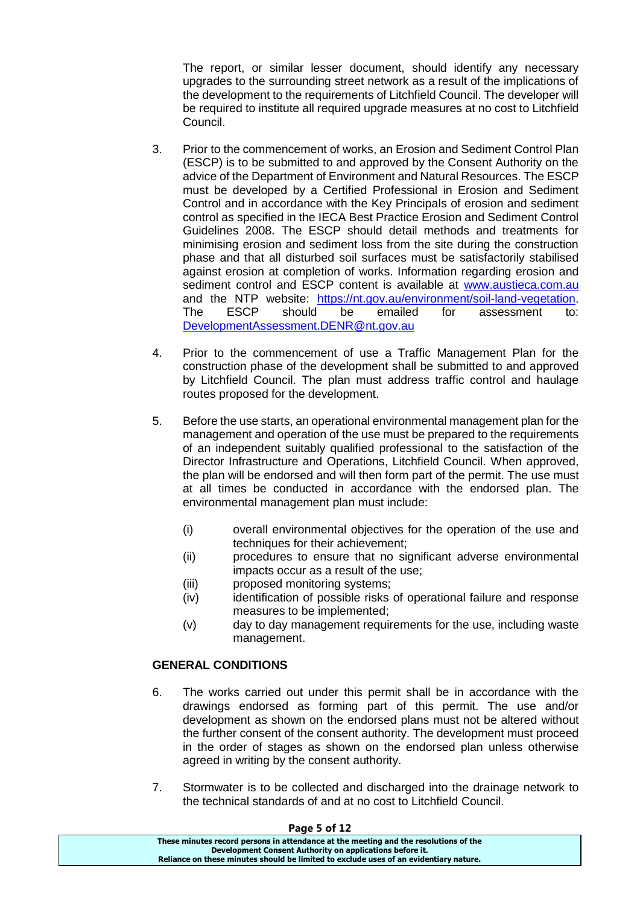The report, or similar lesser document, should identify any necessary upgrades to the surrounding street network as a result of the implications of the development to the requirements of Litchfield Council. The developer will be required to institute all required upgrade measures at no cost to Litchfield Council.

- 3. Prior to the commencement of works, an Erosion and Sediment Control Plan (ESCP) is to be submitted to and approved by the Consent Authority on the advice of the Department of Environment and Natural Resources. The ESCP must be developed by a Certified Professional in Erosion and Sediment Control and in accordance with the Key Principals of erosion and sediment control as specified in the IECA Best Practice Erosion and Sediment Control Guidelines 2008. The ESCP should detail methods and treatments for minimising erosion and sediment loss from the site during the construction phase and that all disturbed soil surfaces must be satisfactorily stabilised against erosion at completion of works. Information regarding erosion and sediment control and ESCP content is available at [www.austieca.com.au](http://www.austieca.com.au/) and the NTP website: [https://nt.gov.au/environment/soil-land-vegetation.](https://nt.gov.au/environment/soil-land-vegetation) The ESCP should be emailed for assessment to: [DevelopmentAssessment.DENR@nt.gov.au](mailto:DevelopmentAssessment.DENR@nt.gov.au)
- 4. Prior to the commencement of use a Traffic Management Plan for the construction phase of the development shall be submitted to and approved by Litchfield Council. The plan must address traffic control and haulage routes proposed for the development.
- 5. Before the use starts, an operational environmental management plan for the management and operation of the use must be prepared to the requirements of an independent suitably qualified professional to the satisfaction of the Director Infrastructure and Operations, Litchfield Council. When approved, the plan will be endorsed and will then form part of the permit. The use must at all times be conducted in accordance with the endorsed plan. The environmental management plan must include:
	- (i) overall environmental objectives for the operation of the use and techniques for their achievement;
	- (ii) procedures to ensure that no significant adverse environmental impacts occur as a result of the use;
	- (iii) proposed monitoring systems:
	- (iv) identification of possible risks of operational failure and response measures to be implemented;
	- (v) day to day management requirements for the use, including waste management.

# **GENERAL CONDITIONS**

- 6. The works carried out under this permit shall be in accordance with the drawings endorsed as forming part of this permit. The use and/or development as shown on the endorsed plans must not be altered without the further consent of the consent authority. The development must proceed in the order of stages as shown on the endorsed plan unless otherwise agreed in writing by the consent authority.
- 7. Stormwater is to be collected and discharged into the drainage network to the technical standards of and at no cost to Litchfield Council.

#### **Page 5 of 12**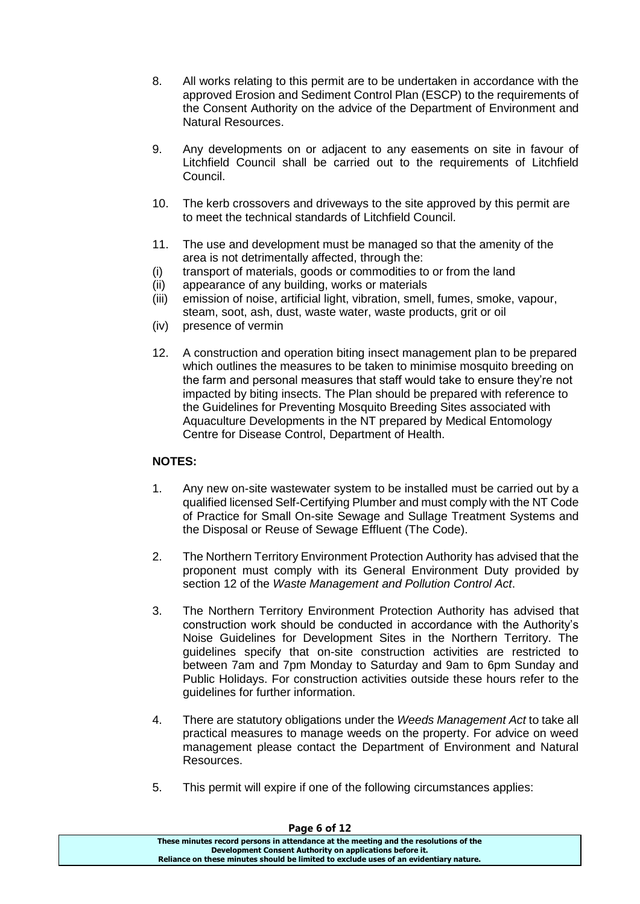- 8. All works relating to this permit are to be undertaken in accordance with the approved Erosion and Sediment Control Plan (ESCP) to the requirements of the Consent Authority on the advice of the Department of Environment and Natural Resources.
- 9. Any developments on or adjacent to any easements on site in favour of Litchfield Council shall be carried out to the requirements of Litchfield Council.
- 10. The kerb crossovers and driveways to the site approved by this permit are to meet the technical standards of Litchfield Council.
- 11. The use and development must be managed so that the amenity of the area is not detrimentally affected, through the:
- (i) transport of materials, goods or commodities to or from the land
- (ii) appearance of any building, works or materials
- (iii) emission of noise, artificial light, vibration, smell, fumes, smoke, vapour, steam, soot, ash, dust, waste water, waste products, grit or oil
- (iv) presence of vermin
- 12. A construction and operation biting insect management plan to be prepared which outlines the measures to be taken to minimise mosquito breeding on the farm and personal measures that staff would take to ensure they're not impacted by biting insects. The Plan should be prepared with reference to the Guidelines for Preventing Mosquito Breeding Sites associated with Aquaculture Developments in the NT prepared by Medical Entomology Centre for Disease Control, Department of Health.

# **NOTES:**

- 1. Any new on-site wastewater system to be installed must be carried out by a qualified licensed Self-Certifying Plumber and must comply with the NT Code of Practice for Small On-site Sewage and Sullage Treatment Systems and the Disposal or Reuse of Sewage Effluent (The Code).
- 2. The Northern Territory Environment Protection Authority has advised that the proponent must comply with its General Environment Duty provided by section 12 of the *Waste Management and Pollution Control Act*.
- 3. The Northern Territory Environment Protection Authority has advised that construction work should be conducted in accordance with the Authority's Noise Guidelines for Development Sites in the Northern Territory. The guidelines specify that on-site construction activities are restricted to between 7am and 7pm Monday to Saturday and 9am to 6pm Sunday and Public Holidays. For construction activities outside these hours refer to the guidelines for further information.
- 4. There are statutory obligations under the *Weeds Management Act* to take all practical measures to manage weeds on the property. For advice on weed management please contact the Department of Environment and Natural Resources.
- 5. This permit will expire if one of the following circumstances applies:

| Page 6 of 12                                                                          |  |
|---------------------------------------------------------------------------------------|--|
| These minutes record persons in attendance at the meeting and the resolutions of the  |  |
| Development Consent Authority on applications before it.                              |  |
| Reliance on these minutes should be limited to exclude uses of an evidentiary nature. |  |
|                                                                                       |  |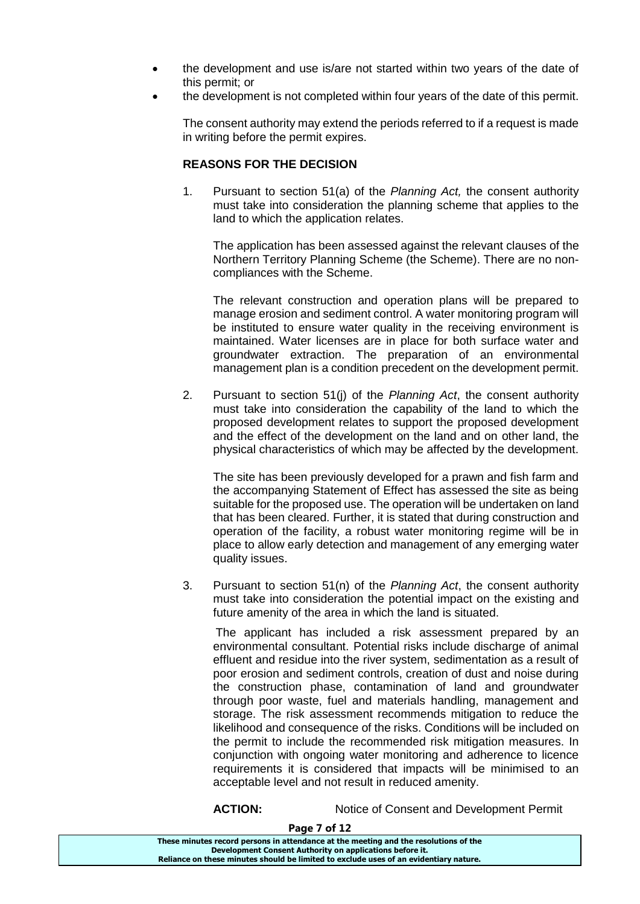- the development and use is/are not started within two years of the date of this permit; or
- the development is not completed within four years of the date of this permit.

The consent authority may extend the periods referred to if a request is made in writing before the permit expires.

# **REASONS FOR THE DECISION**

1. Pursuant to section 51(a) of the *Planning Act,* the consent authority must take into consideration the planning scheme that applies to the land to which the application relates.

The application has been assessed against the relevant clauses of the Northern Territory Planning Scheme (the Scheme). There are no noncompliances with the Scheme.

The relevant construction and operation plans will be prepared to manage erosion and sediment control. A water monitoring program will be instituted to ensure water quality in the receiving environment is maintained. Water licenses are in place for both surface water and groundwater extraction. The preparation of an environmental management plan is a condition precedent on the development permit.

2. Pursuant to section 51(j) of the *Planning Act*, the consent authority must take into consideration the capability of the land to which the proposed development relates to support the proposed development and the effect of the development on the land and on other land, the physical characteristics of which may be affected by the development.

The site has been previously developed for a prawn and fish farm and the accompanying Statement of Effect has assessed the site as being suitable for the proposed use. The operation will be undertaken on land that has been cleared. Further, it is stated that during construction and operation of the facility, a robust water monitoring regime will be in place to allow early detection and management of any emerging water quality issues.

3. Pursuant to section 51(n) of the *Planning Act*, the consent authority must take into consideration the potential impact on the existing and future amenity of the area in which the land is situated.

The applicant has included a risk assessment prepared by an environmental consultant. Potential risks include discharge of animal effluent and residue into the river system, sedimentation as a result of poor erosion and sediment controls, creation of dust and noise during the construction phase, contamination of land and groundwater through poor waste, fuel and materials handling, management and storage. The risk assessment recommends mitigation to reduce the likelihood and consequence of the risks. Conditions will be included on the permit to include the recommended risk mitigation measures. In conjunction with ongoing water monitoring and adherence to licence requirements it is considered that impacts will be minimised to an acceptable level and not result in reduced amenity.

**ACTION:** Notice of Consent and Development Permit

| These minutes record persons in attendance at the meeting and the resolutions of the  |
|---------------------------------------------------------------------------------------|
| Development Consent Authority on applications before it.                              |
| Reliance on these minutes should be limited to exclude uses of an evidentiary nature. |

**Page 7 of 12**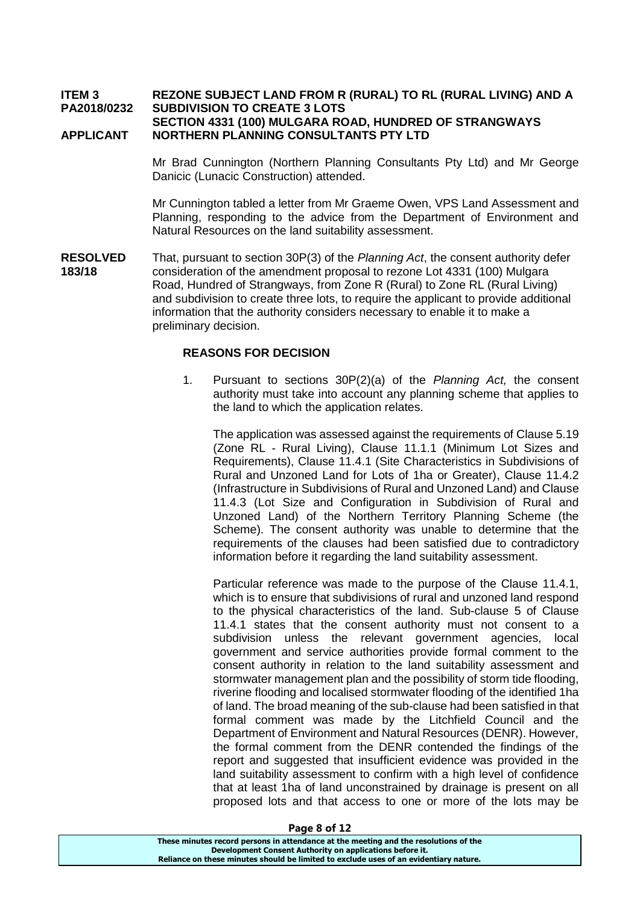#### **ITEM 3 REZONE SUBJECT LAND FROM R (RURAL) TO RL (RURAL LIVING) AND A PA2018/0232 SUBDIVISION TO CREATE 3 LOTS SECTION 4331 (100) MULGARA ROAD, HUNDRED OF STRANGWAYS APPLICANT NORTHERN PLANNING CONSULTANTS PTY LTD**

Mr Brad Cunnington (Northern Planning Consultants Pty Ltd) and Mr George Danicic (Lunacic Construction) attended.

Mr Cunnington tabled a letter from Mr Graeme Owen, VPS Land Assessment and Planning, responding to the advice from the Department of Environment and Natural Resources on the land suitability assessment.

**RESOLVED** That, pursuant to section 30P(3) of the *Planning Act*, the consent authority defer **183/18** consideration of the amendment proposal to rezone Lot 4331 (100) Mulgara Road, Hundred of Strangways, from Zone R (Rural) to Zone RL (Rural Living) and subdivision to create three lots, to require the applicant to provide additional information that the authority considers necessary to enable it to make a preliminary decision.

### **REASONS FOR DECISION**

1. Pursuant to sections 30P(2)(a) of the *Planning Act,* the consent authority must take into account any planning scheme that applies to the land to which the application relates.

The application was assessed against the requirements of Clause 5.19 (Zone RL - Rural Living), Clause 11.1.1 (Minimum Lot Sizes and Requirements), Clause 11.4.1 (Site Characteristics in Subdivisions of Rural and Unzoned Land for Lots of 1ha or Greater), Clause 11.4.2 (Infrastructure in Subdivisions of Rural and Unzoned Land) and Clause 11.4.3 (Lot Size and Configuration in Subdivision of Rural and Unzoned Land) of the Northern Territory Planning Scheme (the Scheme). The consent authority was unable to determine that the requirements of the clauses had been satisfied due to contradictory information before it regarding the land suitability assessment.

Particular reference was made to the purpose of the Clause 11.4.1, which is to ensure that subdivisions of rural and unzoned land respond to the physical characteristics of the land. Sub-clause 5 of Clause 11.4.1 states that the consent authority must not consent to a subdivision unless the relevant government agencies, local government and service authorities provide formal comment to the consent authority in relation to the land suitability assessment and stormwater management plan and the possibility of storm tide flooding, riverine flooding and localised stormwater flooding of the identified 1ha of land. The broad meaning of the sub-clause had been satisfied in that formal comment was made by the Litchfield Council and the Department of Environment and Natural Resources (DENR). However, the formal comment from the DENR contended the findings of the report and suggested that insufficient evidence was provided in the land suitability assessment to confirm with a high level of confidence that at least 1ha of land unconstrained by drainage is present on all proposed lots and that access to one or more of the lots may be

| Page o or 12                                                                          |  |
|---------------------------------------------------------------------------------------|--|
| These minutes record persons in attendance at the meeting and the resolutions of the  |  |
| Development Consent Authority on applications before it.                              |  |
| Reliance on these minutes should be limited to exclude uses of an evidentiary nature. |  |

**Page 8 of 12**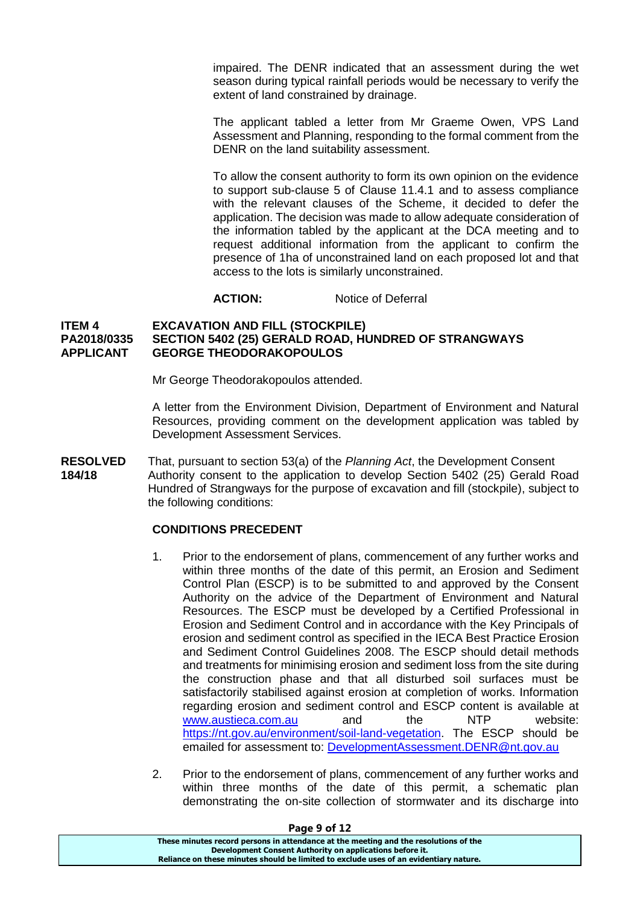impaired. The DENR indicated that an assessment during the wet season during typical rainfall periods would be necessary to verify the extent of land constrained by drainage.

The applicant tabled a letter from Mr Graeme Owen, VPS Land Assessment and Planning, responding to the formal comment from the DENR on the land suitability assessment.

To allow the consent authority to form its own opinion on the evidence to support sub-clause 5 of Clause 11.4.1 and to assess compliance with the relevant clauses of the Scheme, it decided to defer the application. The decision was made to allow adequate consideration of the information tabled by the applicant at the DCA meeting and to request additional information from the applicant to confirm the presence of 1ha of unconstrained land on each proposed lot and that access to the lots is similarly unconstrained.

**ACTION:** Notice of Deferral

### **ITEM 4 EXCAVATION AND FILL (STOCKPILE) PA2018/0335 SECTION 5402 (25) GERALD ROAD, HUNDRED OF STRANGWAYS APPLICANT GEORGE THEODORAKOPOULOS**

Mr George Theodorakopoulos attended.

A letter from the Environment Division, Department of Environment and Natural Resources, providing comment on the development application was tabled by Development Assessment Services.

**RESOLVED** That, pursuant to section 53(a) of the *Planning Act*, the Development Consent **184/18** Authority consent to the application to develop Section 5402 (25) Gerald Road Hundred of Strangways for the purpose of excavation and fill (stockpile), subject to the following conditions:

# **CONDITIONS PRECEDENT**

- 1. Prior to the endorsement of plans, commencement of any further works and within three months of the date of this permit, an Erosion and Sediment Control Plan (ESCP) is to be submitted to and approved by the Consent Authority on the advice of the Department of Environment and Natural Resources. The ESCP must be developed by a Certified Professional in Erosion and Sediment Control and in accordance with the Key Principals of erosion and sediment control as specified in the IECA Best Practice Erosion and Sediment Control Guidelines 2008. The ESCP should detail methods and treatments for minimising erosion and sediment loss from the site during the construction phase and that all disturbed soil surfaces must be satisfactorily stabilised against erosion at completion of works. Information regarding erosion and sediment control and ESCP content is available at [www.austieca.com.au](http://www.austieca.com.au/) and the NTP website: [https://nt.gov.au/environment/soil-land-vegetation.](https://nt.gov.au/environment/soil-land-vegetation) The ESCP should be emailed for assessment to: [DevelopmentAssessment.DENR@nt.gov.au](mailto:DevelopmentAssessment.DENR@nt.gov.au)
- 2. Prior to the endorsement of plans, commencement of any further works and within three months of the date of this permit, a schematic plan demonstrating the on-site collection of stormwater and its discharge into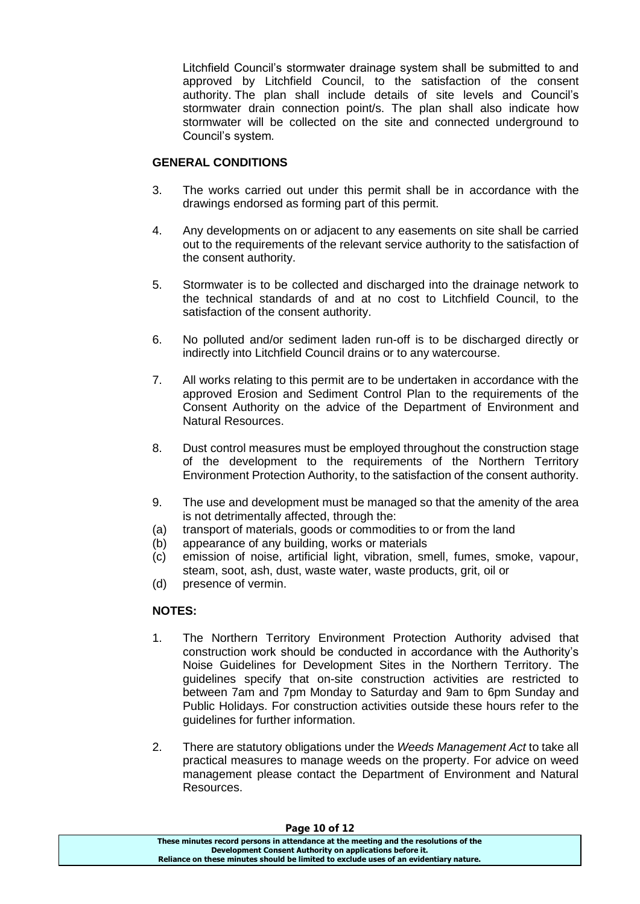Litchfield Council's stormwater drainage system shall be submitted to and approved by Litchfield Council, to the satisfaction of the consent authority. The plan shall include details of site levels and Council's stormwater drain connection point/s. The plan shall also indicate how stormwater will be collected on the site and connected underground to Council's system*.*

# **GENERAL CONDITIONS**

- 3. The works carried out under this permit shall be in accordance with the drawings endorsed as forming part of this permit.
- 4. Any developments on or adjacent to any easements on site shall be carried out to the requirements of the relevant service authority to the satisfaction of the consent authority.
- 5. Stormwater is to be collected and discharged into the drainage network to the technical standards of and at no cost to Litchfield Council, to the satisfaction of the consent authority.
- 6. No polluted and/or sediment laden run-off is to be discharged directly or indirectly into Litchfield Council drains or to any watercourse.
- 7. All works relating to this permit are to be undertaken in accordance with the approved Erosion and Sediment Control Plan to the requirements of the Consent Authority on the advice of the Department of Environment and Natural Resources.
- 8. Dust control measures must be employed throughout the construction stage of the development to the requirements of the Northern Territory Environment Protection Authority, to the satisfaction of the consent authority.
- 9. The use and development must be managed so that the amenity of the area is not detrimentally affected, through the:
- (a) transport of materials, goods or commodities to or from the land
- (b) appearance of any building, works or materials
- (c) emission of noise, artificial light, vibration, smell, fumes, smoke, vapour, steam, soot, ash, dust, waste water, waste products, grit, oil or
- (d) presence of vermin.

# **NOTES:**

- 1. The Northern Territory Environment Protection Authority advised that construction work should be conducted in accordance with the Authority's Noise Guidelines for Development Sites in the Northern Territory. The guidelines specify that on-site construction activities are restricted to between 7am and 7pm Monday to Saturday and 9am to 6pm Sunday and Public Holidays. For construction activities outside these hours refer to the guidelines for further information.
- 2. There are statutory obligations under the *Weeds Management Act* to take all practical measures to manage weeds on the property. For advice on weed management please contact the Department of Environment and Natural Resources.

#### **Page 10 of 12**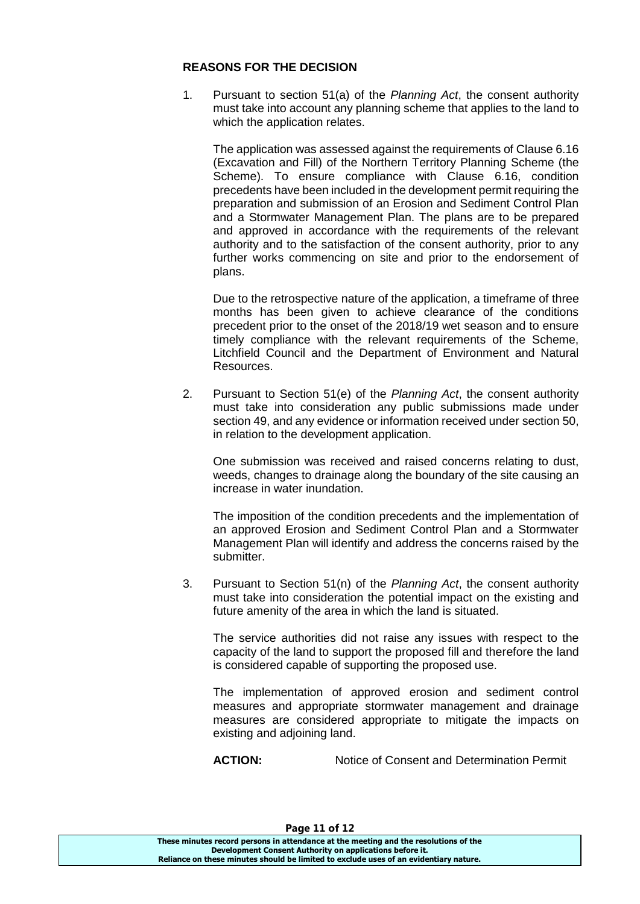# **REASONS FOR THE DECISION**

1. Pursuant to section 51(a) of the *Planning Act*, the consent authority must take into account any planning scheme that applies to the land to which the application relates.

The application was assessed against the requirements of Clause 6.16 (Excavation and Fill) of the Northern Territory Planning Scheme (the Scheme). To ensure compliance with Clause 6.16, condition precedents have been included in the development permit requiring the preparation and submission of an Erosion and Sediment Control Plan and a Stormwater Management Plan. The plans are to be prepared and approved in accordance with the requirements of the relevant authority and to the satisfaction of the consent authority, prior to any further works commencing on site and prior to the endorsement of plans.

Due to the retrospective nature of the application, a timeframe of three months has been given to achieve clearance of the conditions precedent prior to the onset of the 2018/19 wet season and to ensure timely compliance with the relevant requirements of the Scheme, Litchfield Council and the Department of Environment and Natural Resources.

2. Pursuant to Section 51(e) of the *Planning Act*, the consent authority must take into consideration any public submissions made under section 49, and any evidence or information received under section 50, in relation to the development application.

One submission was received and raised concerns relating to dust, weeds, changes to drainage along the boundary of the site causing an increase in water inundation.

The imposition of the condition precedents and the implementation of an approved Erosion and Sediment Control Plan and a Stormwater Management Plan will identify and address the concerns raised by the submitter.

3. Pursuant to Section 51(n) of the *Planning Act*, the consent authority must take into consideration the potential impact on the existing and future amenity of the area in which the land is situated.

The service authorities did not raise any issues with respect to the capacity of the land to support the proposed fill and therefore the land is considered capable of supporting the proposed use.

The implementation of approved erosion and sediment control measures and appropriate stormwater management and drainage measures are considered appropriate to mitigate the impacts on existing and adjoining land.

**ACTION:** Notice of Consent and Determination Permit